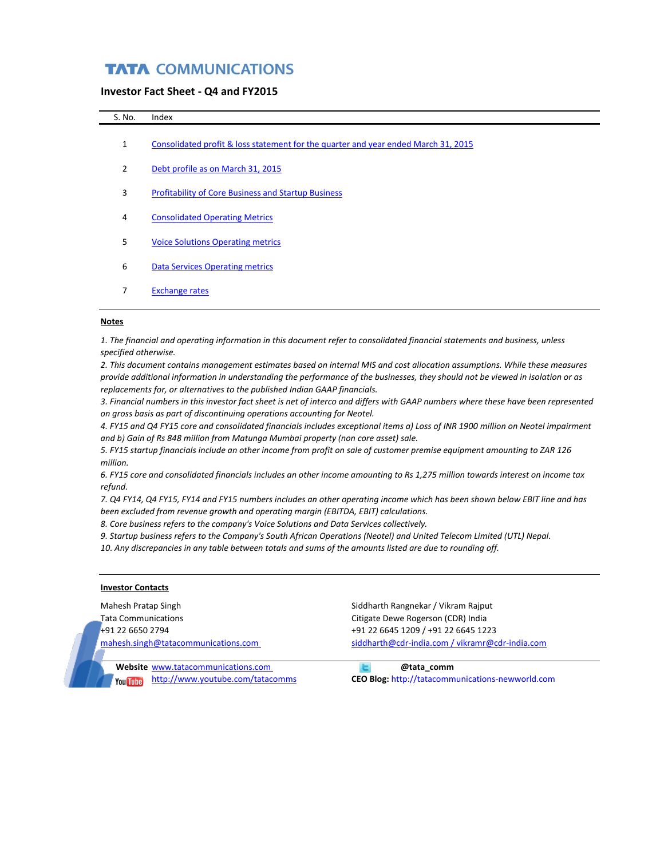## **TATA COMMUNICATIONS**

#### **Investor Fact Sheet - Q4 and FY2015**

| S. No.         | Index                                                                              |
|----------------|------------------------------------------------------------------------------------|
| $\mathbf{1}$   | Consolidated profit & loss statement for the quarter and year ended March 31, 2015 |
| $\overline{2}$ | Debt profile as on March 31, 2015                                                  |
| 3              | <b>Profitability of Core Business and Startup Business</b>                         |
| 4              | <b>Consolidated Operating Metrics</b>                                              |
| 5              | <b>Voice Solutions Operating metrics</b>                                           |
| 6              | <b>Data Services Operating metrics</b>                                             |
|                | <b>Exchange rates</b>                                                              |

#### **Notes**

*1. The financial and operating information in this document refer to consolidated financial statements and business, unless specified otherwise.* 

*2. This document contains management estimates based on internal MIS and cost allocation assumptions. While these measures provide additional information in understanding the performance of the businesses, they should not be viewed in isolation or as replacements for, or alternatives to the published Indian GAAP financials.*

*3. Financial numbers in this investor fact sheet is net of interco and differs with GAAP numbers where these have been represented on gross basis as part of discontinuing operations accounting for Neotel.* 

*4. FY15 and Q4 FY15 core and consolidated financials includes exceptional items a) Loss of INR 1900 million on Neotel impairment and b) Gain of Rs 848 million from Matunga Mumbai property (non core asset) sale.* 

*5. FY15 startup financials include an other income from profit on sale of customer premise equipment amounting to ZAR 126 million.*

*6. FY15 core and consolidated financials includes an other income amounting to Rs 1,275 million towards interest on income tax refund.* 

*7. Q4 FY14, Q4 FY15, FY14 and FY15 numbers includes an other operating income which has been shown below EBIT line and has been excluded from revenue growth and operating margin (EBITDA, EBIT) calculations.* 

*8. Core business refers to the company's Voice Solutions and Data Services collectively.* 

*9. Startup business refers to the Company's South African Operations (Neotel) and United Telecom Limited (UTL) Nepal.*

*10. Any discrepancies in any table between totals and sums of the amounts listed are due to rounding off.*

#### **Investor Contacts**

Mahesh Pratap Singh Siddharth Rangnekar / Vikram Rajput

Tata Communications Citigate Dewe Rogerson (CDR) India +91 22 6650 2794 +91 22 6645 1209 / +91 22 6645 1223 [mahesh.singh@tatacommunications.com](mailto:mahesh.singh@tatacommunications.com) [siddharth@cdr-india.com / vikramr@cdr-india.com](mailto:siddharth@cdr-india.com%20/)

**Website** [www.tatacommunications.com](http://www.tatacommunications.com/) **@tata\_comm** 

<http://www.youtube.com/tatacomms> **CEO Blog:** http://tatacommunications-newworld.com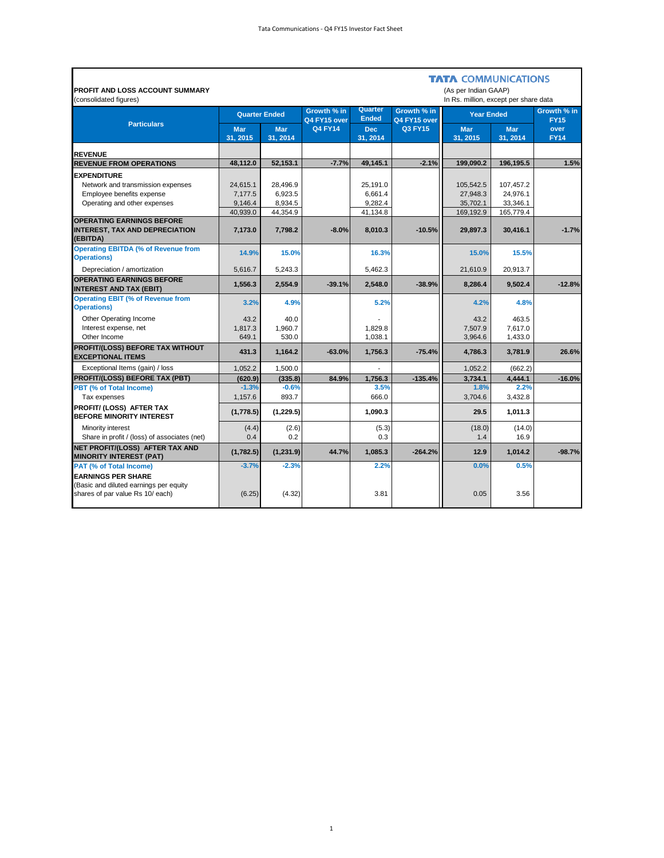$\blacksquare$ 

| <b>PROFIT AND LOSS ACCOUNT SUMMARY</b><br>(consolidated figures)                                        |                        |                        |                             |                         |                             | <b>TATA COMMUNICATIONS</b><br>(As per Indian GAAP)<br>In Rs. million, except per share data |                        |                            |
|---------------------------------------------------------------------------------------------------------|------------------------|------------------------|-----------------------------|-------------------------|-----------------------------|---------------------------------------------------------------------------------------------|------------------------|----------------------------|
|                                                                                                         |                        | <b>Quarter Ended</b>   | Growth % in<br>Q4 FY15 over | Quarter<br><b>Ended</b> | Growth % in<br>Q4 FY15 over | <b>Year Ended</b>                                                                           |                        | Growth % in<br><b>FY15</b> |
| <b>Particulars</b>                                                                                      | <b>Mar</b><br>31, 2015 | <b>Mar</b><br>31, 2014 | <b>Q4 FY14</b>              | <b>Dec</b><br>31, 2014  | <b>Q3 FY15</b>              | <b>Mar</b><br>31, 2015                                                                      | <b>Mar</b><br>31, 2014 | over<br><b>FY14</b>        |
| <b>REVENUE</b>                                                                                          |                        |                        |                             |                         |                             |                                                                                             |                        |                            |
| <b>REVENUE FROM OPERATIONS</b>                                                                          | 48,112.0               | 52,153.1               | $-7.7%$                     | 49,145.1                | $-2.1%$                     | 199,090.2                                                                                   | 196,195.5              | 1.5%                       |
| <b>EXPENDITURE</b>                                                                                      |                        |                        |                             |                         |                             |                                                                                             |                        |                            |
| Network and transmission expenses                                                                       | 24,615.1               | 28.496.9               |                             | 25.191.0                |                             | 105.542.5                                                                                   | 107,457.2              |                            |
| Employee benefits expense                                                                               | 7,177.5                | 6,923.5                |                             | 6.661.4                 |                             | 27,948.3                                                                                    | 24,976.1               |                            |
| Operating and other expenses                                                                            | 9,146.4<br>40,939.0    | 8,934.5<br>44,354.9    |                             | 9,282.4<br>41,134.8     |                             | 35,702.1<br>169,192.9                                                                       | 33,346.1<br>165,779.4  |                            |
| <b>OPERATING EARNINGS BEFORE</b><br><b>INTEREST, TAX AND DEPRECIATION</b><br>(EBITDA)                   | 7,173.0                | 7,798.2                | $-8.0\%$                    | 8,010.3                 | $-10.5%$                    | 29,897.3                                                                                    | 30,416.1               | $-1.7%$                    |
| <b>Operating EBITDA (% of Revenue from</b><br><b>Operations)</b>                                        | 14.9%                  | 15.0%                  |                             | 16.3%                   |                             | 15.0%                                                                                       | 15.5%                  |                            |
| Depreciation / amortization                                                                             | 5,616.7                | 5,243.3                |                             | 5,462.3                 |                             | 21,610.9                                                                                    | 20,913.7               |                            |
| <b>OPERATING EARNINGS BEFORE</b><br><b>INTEREST AND TAX (EBIT)</b>                                      | 1.556.3                | 2,554.9                | $-39.1%$                    | 2,548.0                 | $-38.9%$                    | 8,286.4                                                                                     | 9.502.4                | $-12.8%$                   |
| <b>Operating EBIT (% of Revenue from</b><br><b>Operations)</b>                                          | 3.2%                   | 4.9%                   |                             | 5.2%                    |                             | 4.2%                                                                                        | 4.8%                   |                            |
| Other Operating Income                                                                                  | 43.2                   | 40.0                   |                             |                         |                             | 43.2                                                                                        | 463.5                  |                            |
| Interest expense, net                                                                                   | 1,817.3                | 1,960.7                |                             | 1,829.8                 |                             | 7,507.9                                                                                     | 7,617.0                |                            |
| Other Income                                                                                            | 649.1                  | 530.0                  |                             | 1.038.1                 |                             | 3,964.6                                                                                     | 1,433.0                |                            |
| PROFIT/(LOSS) BEFORE TAX WITHOUT<br><b>EXCEPTIONAL ITEMS</b>                                            | 431.3                  | 1,164.2                | $-63.0%$                    | 1,756.3                 | $-75.4%$                    | 4,786.3                                                                                     | 3,781.9                | 26.6%                      |
| Exceptional Items (gain) / loss                                                                         | 1,052.2                | 1,500.0                |                             |                         |                             | 1,052.2                                                                                     | (662.2)                |                            |
| PROFIT/(LOSS) BEFORE TAX (PBT)                                                                          | (620.9)                | (335.8)                | 84.9%                       | 1.756.3                 | $-135.4%$                   | 3,734.1                                                                                     | 4,444.1                | $-16.0%$                   |
| PBT (% of Total Income)<br>Tax expenses                                                                 | $-1.3%$<br>1,157.6     | $-0.6%$<br>893.7       |                             | 3.5%<br>666.0           |                             | 1.8%<br>3,704.6                                                                             | 2.2%<br>3,432.8        |                            |
| PROFIT/ (LOSS) AFTER TAX<br><b>BEFORE MINORITY INTEREST</b>                                             | (1,778.5)              | (1, 229.5)             |                             | 1,090.3                 |                             | 29.5                                                                                        | 1,011.3                |                            |
| Minority interest<br>Share in profit / (loss) of associates (net)                                       | (4.4)<br>0.4           | (2.6)<br>0.2           |                             | (5.3)<br>0.3            |                             | (18.0)<br>1.4                                                                               | (14.0)<br>16.9         |                            |
| NET PROFIT/(LOSS) AFTER TAX AND<br><b>MINORITY INTEREST (PAT)</b>                                       | (1,782.5)              | (1,231.9)              | 44.7%                       | 1,085.3                 | $-264.2%$                   | 12.9                                                                                        | 1,014.2                | $-98.7%$                   |
| <b>PAT (% of Total Income)</b>                                                                          | $-3.7%$                | $-2.3%$                |                             | 2.2%                    |                             | 0.0%                                                                                        | 0.5%                   |                            |
| <b>EARNINGS PER SHARE</b><br>(Basic and diluted earnings per equity<br>shares of par value Rs 10/ each) | (6.25)                 | (4.32)                 |                             | 3.81                    |                             | 0.05                                                                                        | 3.56                   |                            |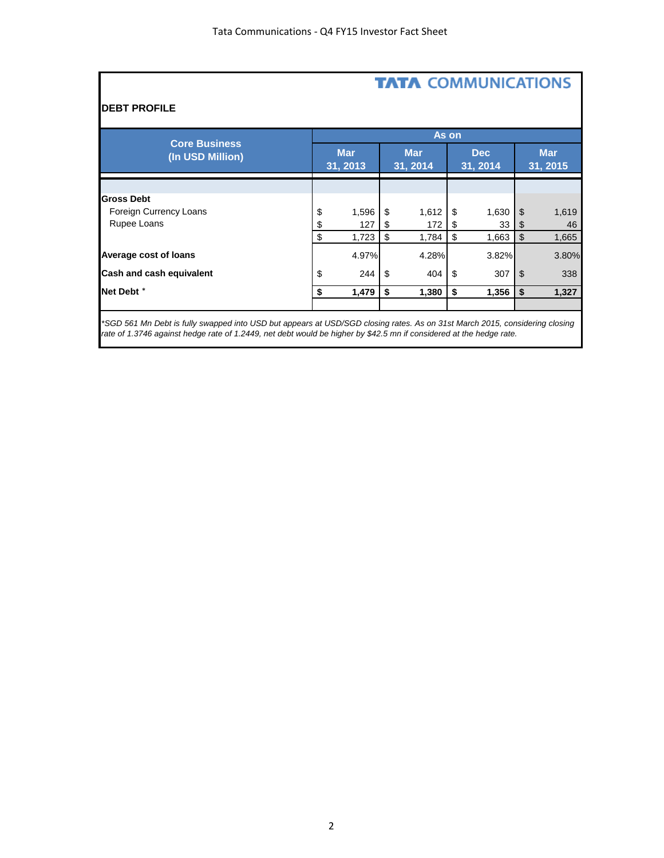# **TATA COMMUNICATIONS**

## **DEBT PROFILE**

| <b>Core Business</b><br>(In USD Million) |    | As on                  |    |                        |    |                        |    |                        |  |  |
|------------------------------------------|----|------------------------|----|------------------------|----|------------------------|----|------------------------|--|--|
|                                          |    | <b>Mar</b><br>31, 2013 |    | <b>Mar</b><br>31, 2014 |    | <b>Dec</b><br>31, 2014 |    | <b>Mar</b><br>31, 2015 |  |  |
|                                          |    |                        |    |                        |    |                        |    |                        |  |  |
| <b>Gross Debt</b>                        |    |                        |    |                        |    |                        |    |                        |  |  |
| Foreign Currency Loans                   | \$ | 1,596                  | \$ | 1,612                  | \$ | 1,630                  | \$ | 1,619                  |  |  |
| Rupee Loans                              | \$ | 127                    | \$ | 172                    | S  | 33                     | \$ | 46                     |  |  |
|                                          | \$ | 1,723                  | \$ | 1,784                  | \$ | 1,663                  | \$ | 1,665                  |  |  |
| Average cost of loans                    |    | 4.97%                  |    | 4.28%                  |    | 3.82%                  |    | 3.80%                  |  |  |
| Cash and cash equivalent                 | \$ | 244                    | \$ | 404                    | \$ | 307                    | \$ | 338                    |  |  |
| Net Debt <sup>*</sup>                    | \$ | 1,479                  | \$ | 1,380                  | \$ | 1,356                  | \$ | 1,327                  |  |  |
|                                          |    |                        |    |                        |    |                        |    |                        |  |  |

*\*SGD 561 Mn Debt is fully swapped into USD but appears at USD/SGD closing rates. As on 31st March 2015, considering closing*  rate of 1.3746 against hedge rate of 1.2449, net debt would be higher by \$42.5 mn if considered at the hedge rate.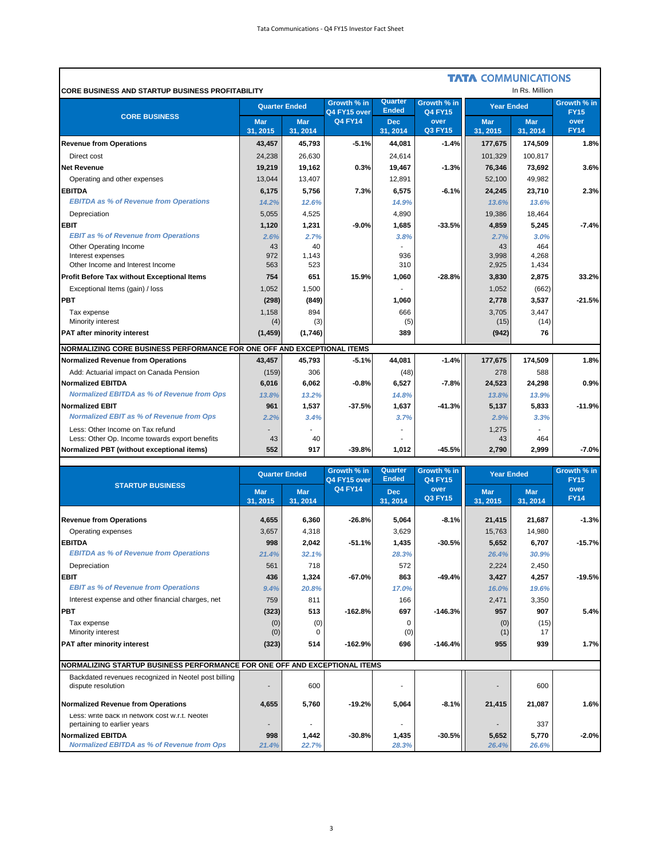'n

|                                                                         |                       |                        |                             |                         |                               | <b>TATA COMMUNICATIONS</b> | In Rs. Million         |                            |
|-------------------------------------------------------------------------|-----------------------|------------------------|-----------------------------|-------------------------|-------------------------------|----------------------------|------------------------|----------------------------|
| <b>CORE BUSINESS AND STARTUP BUSINESS PROFITABILITY</b>                 | <b>Quarter Ended</b>  |                        | Growth % in<br>Q4 FY15 over | Quarter<br><b>Ended</b> | Growth % in<br><b>Q4 FY15</b> | <b>Year Ended</b>          |                        | Growth % in<br><b>FY15</b> |
| <b>CORE BUSINESS</b>                                                    | <b>Mar</b><br>31.2015 | <b>Mar</b><br>31, 2014 | <b>Q4 FY14</b>              | <b>Dec</b><br>31, 2014  | over<br><b>Q3 FY15</b>        | <b>Mar</b><br>31, 2015     | <b>Mar</b><br>31, 2014 | over<br><b>FY14</b>        |
| <b>Revenue from Operations</b>                                          | 43,457                | 45,793                 | $-5.1%$                     | 44,081                  | $-1.4%$                       | 177,675                    | 174,509                | 1.8%                       |
| Direct cost                                                             | 24,238                | 26,630                 |                             | 24,614                  |                               | 101,329                    | 100,817                |                            |
| <b>Net Revenue</b>                                                      | 19,219                | 19,162                 | 0.3%                        | 19,467                  | $-1.3%$                       | 76,346                     | 73,692                 | 3.6%                       |
| Operating and other expenses                                            | 13,044                | 13,407                 |                             | 12,891                  |                               | 52,100                     | 49,982                 |                            |
| <b>EBITDA</b>                                                           | 6,175                 | 5,756                  | 7.3%                        | 6,575                   | $-6.1%$                       | 24,245                     | 23,710                 | 2.3%                       |
| <b>EBITDA as % of Revenue from Operations</b>                           | 14.2%                 | 12.6%                  |                             | 14.9%                   |                               | 13.6%                      | 13.6%                  |                            |
| Depreciation                                                            | 5.055                 | 4.525                  |                             | 4,890                   |                               | 19,386                     | 18,464                 |                            |
| <b>EBIT</b>                                                             | 1,120                 | 1,231                  | $-9.0%$                     | 1,685                   | $-33.5%$                      | 4,859                      | 5,245                  | $-7.4%$                    |
| <b>EBIT as % of Revenue from Operations</b>                             | 2.6%                  | 2.7%                   |                             | 3.8%                    |                               | 2.7%                       | 3.0%                   |                            |
| Other Operating Income                                                  | 43                    | 40                     |                             |                         |                               | 43                         | 464                    |                            |
| Interest expenses                                                       | 972                   | 1,143                  |                             | 936                     |                               | 3,998                      | 4,268                  |                            |
| Other Income and Interest Income                                        | 563                   | 523                    |                             | 310                     |                               | 2,925                      | 1,434                  |                            |
| <b>Profit Before Tax without Exceptional Items</b>                      | 754                   | 651                    | 15.9%                       | 1.060                   | $-28.8%$                      | 3,830                      | 2,875                  | 33.2%                      |
| Exceptional Items (gain) / loss                                         | 1,052                 | 1,500                  |                             |                         |                               | 1,052                      | (662)                  |                            |
| <b>PBT</b>                                                              | (298)                 | (849)                  |                             | 1,060                   |                               | 2,778                      | 3,537                  | $-21.5%$                   |
| Tax expense                                                             | 1,158                 | 894                    |                             | 666                     |                               | 3,705                      | 3,447                  |                            |
| Minority interest                                                       | (4)                   | (3)                    |                             | (5)                     |                               | (15)                       | (14)                   |                            |
| PAT after minority interest                                             | (1, 459)              | (1,746)                |                             | 389                     |                               | (942)                      | 76                     |                            |
| NORMALIZING CORE BUSINESS PERFORMANCE FOR ONE OFF AND EXCEPTIONAL ITEMS |                       |                        |                             |                         |                               |                            |                        |                            |
| Normalized Revenue from Operations                                      | 43,457                | 45,793                 | $-5.1%$                     | 44,081                  | $-1.4%$                       | 177,675                    | 174,509                | 1.8%                       |
| Add: Actuarial impact on Canada Pension                                 | (159)                 | 306                    |                             | (48)                    |                               | 278                        | 588                    |                            |
| <b>Normalized EBITDA</b>                                                | 6,016                 | 6,062                  | $-0.8%$                     | 6,527                   | $-7.8%$                       | 24,523                     | 24,298                 | 0.9%                       |
| <b>Normalized EBITDA as % of Revenue from Ops</b>                       | 13.8%                 | 13.2%                  |                             | 14.8%                   |                               | 13.8%                      | 13.9%                  |                            |
| <b>Normalized EBIT</b>                                                  | 961                   | 1,537                  | $-37.5%$                    | 1,637                   | $-41.3%$                      | 5,137                      | 5,833                  | $-11.9%$                   |
| <b>Normalized EBIT as % of Revenue from Ops</b>                         | 2.2%                  | 3.4%                   |                             | 3.7%                    |                               | 2.9%                       | 3.3%                   |                            |
| Less: Other Income on Tax refund                                        |                       |                        |                             |                         |                               | 1,275                      |                        |                            |
| Less: Other Op. Income towards export benefits                          | 43                    | 40                     |                             |                         |                               | 43                         | 464                    |                            |
| Normalized PBT (without exceptional items)                              | 552                   | 917                    | $-39.8%$                    | 1,012                   | $-45.5%$                      | 2,790                      | 2,999                  | $-7.0%$                    |

|                                                                               | <b>Quarter Ended</b>   |                        | Growth % in<br>Q4 FY15 over | Quarter<br><b>Ended</b> | Growth % in<br><b>Q4 FY15</b> | <b>Year Ended</b>     |                        | Growth % in<br><b>FY15</b> |  |
|-------------------------------------------------------------------------------|------------------------|------------------------|-----------------------------|-------------------------|-------------------------------|-----------------------|------------------------|----------------------------|--|
| <b>STARTUP BUSINESS</b>                                                       | <b>Mar</b><br>31, 2015 | <b>Mar</b><br>31, 2014 | <b>Q4 FY14</b>              | <b>Dec</b><br>31, 2014  | over<br><b>Q3 FY15</b>        | <b>Mar</b><br>31.2015 | <b>Mar</b><br>31, 2014 | over<br><b>FY14</b>        |  |
| <b>Revenue from Operations</b>                                                | 4,655                  | 6,360                  | $-26.8%$                    | 5,064                   | $-8.1%$                       | 21,415                | 21,687                 | $-1.3%$                    |  |
| Operating expenses                                                            | 3,657                  | 4,318                  |                             | 3,629                   |                               | 15,763                | 14,980                 |                            |  |
| <b>EBITDA</b>                                                                 | 998                    | 2,042                  | $-51.1%$                    | 1,435                   | $-30.5%$                      | 5,652                 | 6,707                  | $-15.7%$                   |  |
| <b>EBITDA as % of Revenue from Operations</b>                                 | 21.4%                  | 32.1%                  |                             | 28.3%                   |                               | 26.4%                 | 30.9%                  |                            |  |
| Depreciation                                                                  | 561                    | 718                    |                             | 572                     |                               | 2,224                 | 2,450                  |                            |  |
| <b>EBIT</b>                                                                   | 436                    | 1,324                  | $-67.0%$                    | 863                     | $-49.4%$                      | 3,427                 | 4,257                  | $-19.5%$                   |  |
| <b>EBIT as % of Revenue from Operations</b>                                   | 9.4%                   | 20.8%                  |                             | 17.0%                   |                               | 16.0%                 | 19.6%                  |                            |  |
| Interest expense and other financial charges, net                             | 759                    | 811                    |                             | 166                     |                               | 2.471                 | 3,350                  |                            |  |
| <b>PBT</b>                                                                    | (323)                  | 513                    | $-162.8%$                   | 697                     | $-146.3%$                     | 957                   | 907                    | 5.4%                       |  |
| Tax expense                                                                   | (0)                    | (0)                    |                             | $\Omega$                |                               | (0)                   | (15)                   |                            |  |
| Minority interest                                                             | (0)                    |                        |                             | (0)                     |                               | (1)                   | 17                     |                            |  |
| <b>PAT after minority interest</b>                                            | (323)                  | 514                    | $-162.9%$                   | 696                     | $-146.4%$                     | 955                   | 939                    | 1.7%                       |  |
| NORMALIZING STARTUP BUSINESS PERFORMANCE FOR ONE OFF AND EXCEPTIONAL ITEMS    |                        |                        |                             |                         |                               |                       |                        |                            |  |
| Backdated revenues recognized in Neotel post billing<br>dispute resolution    |                        | 600                    |                             |                         |                               |                       | 600                    |                            |  |
| Normalized Revenue from Operations                                            | 4.655                  | 5,760                  | $-19.2%$                    | 5,064                   | $-8.1%$                       | 21,415                | 21,087                 | 1.6%                       |  |
| Less: write back in network cost w.r.t. Neotel<br>pertaining to earlier years |                        |                        |                             |                         |                               |                       | 337                    |                            |  |
| <b>Normalized EBITDA</b>                                                      | 998                    | 1,442                  | $-30.8%$                    | 1,435                   | $-30.5%$                      | 5,652                 | 5,770                  | $-2.0%$                    |  |
| <b>Normalized EBITDA as % of Revenue from Ops</b>                             | 21.4%                  | 22.7%                  |                             | 28.3%                   |                               | 26.4%                 | 26.6%                  |                            |  |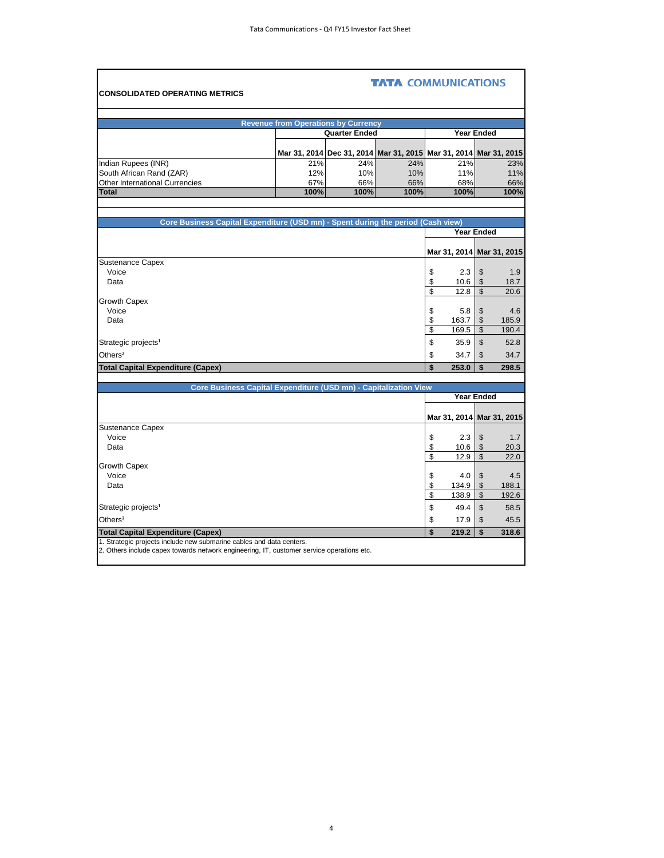| <b>CONSOLIDATED OPERATING METRICS</b>                                                                                                                             |                                            |                                                                  | <b>TATA COMMUNICATIONS</b> |                           |                           |       |
|-------------------------------------------------------------------------------------------------------------------------------------------------------------------|--------------------------------------------|------------------------------------------------------------------|----------------------------|---------------------------|---------------------------|-------|
|                                                                                                                                                                   |                                            |                                                                  |                            |                           |                           |       |
|                                                                                                                                                                   | <b>Revenue from Operations by Currency</b> |                                                                  |                            |                           |                           |       |
|                                                                                                                                                                   |                                            | <b>Quarter Ended</b>                                             |                            |                           | Year Ended                |       |
|                                                                                                                                                                   |                                            | Mar 31, 2014 Dec 31, 2014 Mar 31, 2015 Mar 31, 2014 Mar 31, 2015 |                            |                           |                           |       |
| Indian Rupees (INR)                                                                                                                                               | 21%                                        | 24%                                                              | 24%                        | 21%                       |                           | 23%   |
| South African Rand (ZAR)                                                                                                                                          | 12%                                        | 10%                                                              | 10%                        | 11%                       |                           | 11%   |
| <b>Other International Currencies</b>                                                                                                                             | 67%                                        | 66%                                                              | 66%                        | 68%                       |                           | 66%   |
| <b>Total</b>                                                                                                                                                      | 100%                                       | 100%                                                             | 100%                       | 100%                      |                           | 100%  |
|                                                                                                                                                                   |                                            |                                                                  |                            |                           |                           |       |
| Core Business Capital Expenditure (USD mn) - Spent during the period (Cash view)                                                                                  |                                            |                                                                  |                            |                           |                           |       |
|                                                                                                                                                                   |                                            |                                                                  |                            | Year Ended                |                           |       |
|                                                                                                                                                                   |                                            |                                                                  |                            |                           |                           |       |
|                                                                                                                                                                   |                                            |                                                                  |                            | Mar 31, 2014 Mar 31, 2015 |                           |       |
| <b>Sustenance Capex</b>                                                                                                                                           |                                            |                                                                  |                            |                           |                           |       |
| Voice                                                                                                                                                             |                                            |                                                                  |                            | \$<br>2.3                 | \$                        | 1.9   |
| Data                                                                                                                                                              |                                            |                                                                  |                            | \$<br>10.6                | \$<br>$\overline{\$}$     | 18.7  |
| Growth Capex                                                                                                                                                      |                                            |                                                                  |                            | \$<br>12.8                |                           | 20.6  |
| Voice                                                                                                                                                             |                                            |                                                                  |                            | \$<br>5.8                 | \$                        | 4.6   |
| Data                                                                                                                                                              |                                            |                                                                  |                            | \$<br>163.7               | $\boldsymbol{\mathsf{S}}$ | 185.9 |
|                                                                                                                                                                   |                                            |                                                                  |                            | \$<br>169.5               | $\mathsf{\$}$             | 190.4 |
| Strategic projects <sup>1</sup>                                                                                                                                   |                                            |                                                                  |                            | \$<br>35.9                | $\mathfrak{S}$            | 52.8  |
| Others <sup>2</sup>                                                                                                                                               |                                            |                                                                  |                            | \$<br>34.7                | \$                        | 34.7  |
| <b>Total Capital Expenditure (Capex)</b>                                                                                                                          |                                            |                                                                  |                            | \$<br>253.0               | \$                        | 298.5 |
|                                                                                                                                                                   |                                            |                                                                  |                            |                           |                           |       |
| Core Business Capital Expenditure (USD mn) - Capitalization View                                                                                                  |                                            |                                                                  |                            |                           |                           |       |
|                                                                                                                                                                   |                                            |                                                                  |                            |                           | <b>Year Ended</b>         |       |
|                                                                                                                                                                   |                                            |                                                                  |                            |                           |                           |       |
| Sustenance Capex                                                                                                                                                  |                                            |                                                                  |                            | Mar 31, 2014 Mar 31, 2015 |                           |       |
| Voice                                                                                                                                                             |                                            |                                                                  |                            | \$<br>2.3                 | \$                        | 1.7   |
| Data                                                                                                                                                              |                                            |                                                                  |                            | \$<br>10.6                | \$                        | 20.3  |
|                                                                                                                                                                   |                                            |                                                                  |                            | \$<br>12.9                | $\mathbb{S}$              | 22.0  |
| Growth Capex                                                                                                                                                      |                                            |                                                                  |                            |                           |                           |       |
| Voice                                                                                                                                                             |                                            |                                                                  |                            | \$<br>4.0                 | \$                        | 4.5   |
| Data                                                                                                                                                              |                                            |                                                                  |                            | \$<br>134.9               | \$<br>$\mathfrak{L}$      | 188.1 |
|                                                                                                                                                                   |                                            |                                                                  |                            | \$<br>138.9               |                           | 192.6 |
| Strategic projects <sup>1</sup>                                                                                                                                   |                                            |                                                                  |                            | \$<br>49.4                | $\mathsf{\$}$             | 58.5  |
| Others <sup>2</sup>                                                                                                                                               |                                            |                                                                  |                            | \$<br>17.9                | \$                        | 45.5  |
| <b>Total Capital Expenditure (Capex)</b>                                                                                                                          |                                            |                                                                  |                            | \$<br>219.2               | \$                        | 318.6 |
| 1. Strategic projects include new submarine cables and data centers.<br>2. Others include capex towards network engineering, IT, customer service operations etc. |                                            |                                                                  |                            |                           |                           |       |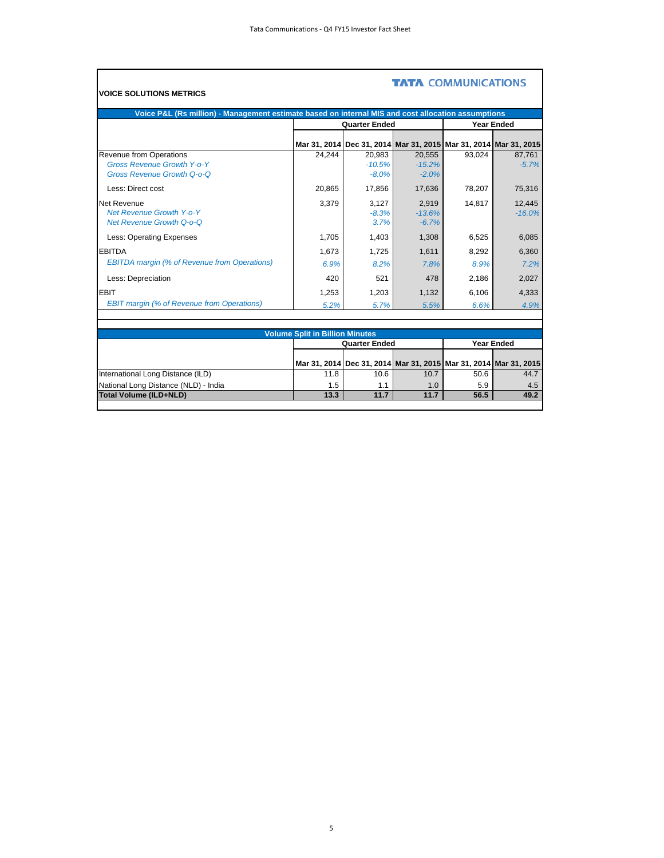$\blacksquare$ 

| Voice P&L (Rs million) - Management estimate based on internal MIS and cost allocation assumptions |                                        |                                                                  |                               |               |                    |
|----------------------------------------------------------------------------------------------------|----------------------------------------|------------------------------------------------------------------|-------------------------------|---------------|--------------------|
|                                                                                                    |                                        | <b>Quarter Ended</b>                                             |                               |               | <b>Year Ended</b>  |
|                                                                                                    |                                        | Mar 31, 2014 Dec 31, 2014 Mar 31, 2015 Mar 31, 2014 Mar 31, 2015 |                               |               |                    |
| Revenue from Operations<br><b>Gross Revenue Growth Y-o-Y</b><br><b>Gross Revenue Growth Q-o-Q</b>  | 24.244                                 | 20.983<br>$-10.5%$<br>$-8.0%$                                    | 20,555<br>$-15.2%$<br>$-2.0%$ | 93.024        | 87.761<br>$-5.7%$  |
| Less: Direct cost                                                                                  | 20,865                                 | 17,856                                                           | 17,636                        | 78,207        | 75,316             |
| Net Revenue<br><b>Net Revenue Growth Y-o-Y</b><br><b>Net Revenue Growth Q-o-Q</b>                  | 3,379                                  | 3,127<br>$-8.3%$<br>3.7%                                         | 2,919<br>$-13.6%$<br>$-6.7%$  | 14.817        | 12,445<br>$-16.0%$ |
| Less: Operating Expenses                                                                           | 1,705                                  | 1,403                                                            | 1,308                         | 6,525         | 6,085              |
| <b>EBITDA</b><br><b>EBITDA margin (% of Revenue from Operations)</b>                               | 1.673<br>6.9%                          | 1.725<br>8.2%                                                    | 1,611<br>7.8%                 | 8,292<br>8.9% | 6.360<br>7.2%      |
| Less: Depreciation                                                                                 | 420                                    | 521                                                              | 478                           | 2.186         | 2.027              |
| <b>EBIT</b><br><b>EBIT margin (% of Revenue from Operations)</b>                                   | 1,253<br>5.2%                          | 1,203<br>5.7%                                                    | 1,132<br>5.5%                 | 6,106<br>6.6% | 4,333<br>4.9%      |
|                                                                                                    |                                        |                                                                  |                               |               |                    |
|                                                                                                    | <b>Volume Split in Billion Minutes</b> |                                                                  |                               |               |                    |
|                                                                                                    |                                        | <b>Quarter Ended</b>                                             |                               |               | <b>Year Ended</b>  |

|                                      | Mar 31, 2014 Dec 31, 2014 Mar 31, 2015 Mar 31, 2014 Mar 31, 2015 |      |      |      |      |
|--------------------------------------|------------------------------------------------------------------|------|------|------|------|
| International Long Distance (ILD)    | 11.8                                                             | 10.6 | 10.7 | 50.6 | 44.7 |
| National Long Distance (NLD) - India | 1.5                                                              | 1.1  | 1.0  | 5.9  | 4.5  |
| <b>Total Volume (ILD+NLD)</b>        | 13.3                                                             | 11.7 | 11.7 | 56.5 | 49.2 |
|                                      |                                                                  |      |      |      |      |

### 5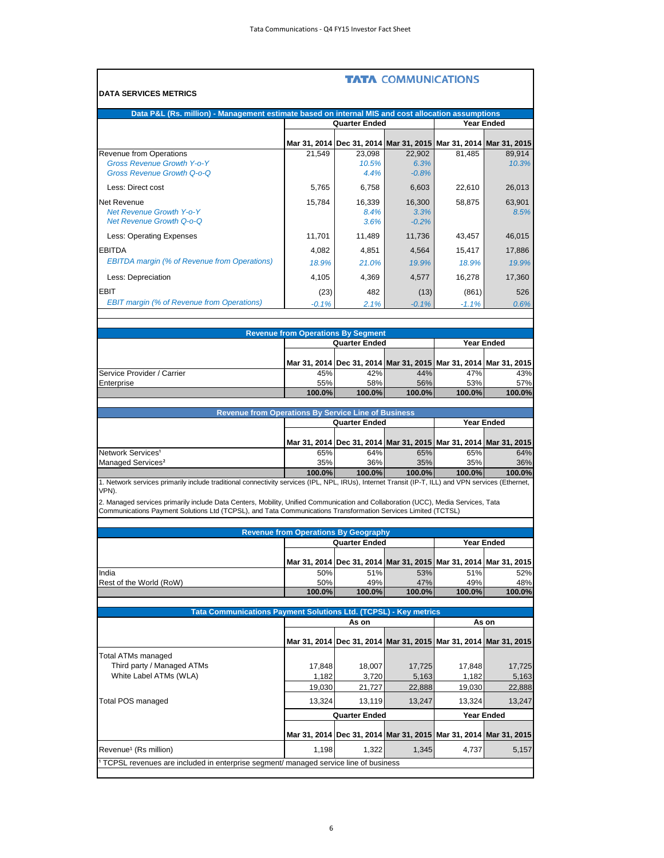|                                                                                                                                                                                                                                                             |                                             |                         | <b>TATA COMMUNICATIONS</b>                                       |                  |                   |
|-------------------------------------------------------------------------------------------------------------------------------------------------------------------------------------------------------------------------------------------------------------|---------------------------------------------|-------------------------|------------------------------------------------------------------|------------------|-------------------|
| <b>DATA SERVICES METRICS</b>                                                                                                                                                                                                                                |                                             |                         |                                                                  |                  |                   |
| Data P&L (Rs. million) - Management estimate based on internal MIS and cost allocation assumptions                                                                                                                                                          |                                             |                         |                                                                  |                  |                   |
|                                                                                                                                                                                                                                                             |                                             | <b>Quarter Ended</b>    |                                                                  |                  | <b>Year Ended</b> |
|                                                                                                                                                                                                                                                             | Mar 31, 2014                                |                         | Dec 31, 2014 Mar 31, 2015 Mar 31, 2014 Mar 31, 2015              |                  |                   |
| Revenue from Operations<br><b>Gross Revenue Growth Y-o-Y</b><br><b>Gross Revenue Growth Q-o-Q</b>                                                                                                                                                           | 21,549                                      | 23.098<br>10.5%<br>4.4% | 22.902<br>6.3%<br>$-0.8%$                                        | 81,485           | 89.914<br>10.3%   |
| Less: Direct cost                                                                                                                                                                                                                                           | 5.765                                       | 6,758                   | 6,603                                                            | 22,610           | 26,013            |
| Net Revenue<br><b>Net Revenue Growth Y-o-Y</b><br><b>Net Revenue Growth Q-o-Q</b>                                                                                                                                                                           | 15,784                                      | 16,339<br>8.4%<br>3.6%  | 16.300<br>3.3%<br>$-0.2%$                                        | 58,875           | 63,901<br>8.5%    |
| Less: Operating Expenses                                                                                                                                                                                                                                    | 11,701                                      | 11,489                  | 11,736                                                           | 43,457           | 46,015            |
| <b>EBITDA</b>                                                                                                                                                                                                                                               | 4,082                                       | 4,851                   | 4,564                                                            | 15,417           | 17,886            |
| <b>EBITDA</b> margin (% of Revenue from Operations)                                                                                                                                                                                                         | 18.9%                                       | 21.0%                   | 19.9%                                                            | 18.9%            | 19.9%             |
| Less: Depreciation                                                                                                                                                                                                                                          | 4,105                                       | 4,369                   | 4,577                                                            | 16,278           | 17,360            |
| <b>EBIT</b><br><b>EBIT margin (% of Revenue from Operations)</b>                                                                                                                                                                                            | (23)<br>$-0.1%$                             | 482<br>2.1%             | (13)<br>$-0.1%$                                                  | (861)<br>$-1.1%$ | 526<br>0.6%       |
|                                                                                                                                                                                                                                                             |                                             |                         |                                                                  |                  |                   |
|                                                                                                                                                                                                                                                             | <b>Revenue from Operations By Segment</b>   |                         |                                                                  |                  |                   |
|                                                                                                                                                                                                                                                             |                                             | <b>Quarter Ended</b>    |                                                                  |                  | <b>Year Ended</b> |
|                                                                                                                                                                                                                                                             |                                             |                         | Mar 31, 2014 Dec 31, 2014 Mar 31, 2015 Mar 31, 2014 Mar 31, 2015 |                  |                   |
| Service Provider / Carrier                                                                                                                                                                                                                                  | 45%                                         | 42%                     | 44%                                                              | 47%              | 43%               |
| Enterprise                                                                                                                                                                                                                                                  | 55%<br>100.0%                               | 58%<br>100.0%           | 56%<br>100.0%                                                    | 53%<br>100.0%    | 57%<br>100.0%     |
| <b>Revenue from Operations By Service Line of Business</b>                                                                                                                                                                                                  |                                             |                         |                                                                  |                  |                   |
|                                                                                                                                                                                                                                                             |                                             | <b>Quarter Ended</b>    |                                                                  |                  | <b>Year Ended</b> |
|                                                                                                                                                                                                                                                             |                                             |                         | Mar 31, 2014 Dec 31, 2014 Mar 31, 2015 Mar 31, 2014 Mar 31, 2015 |                  |                   |
| Network Services <sup>1</sup>                                                                                                                                                                                                                               | 65%                                         | 64%                     | 65%                                                              | 65%              | 64%               |
| Managed Services <sup>2</sup>                                                                                                                                                                                                                               | 35%<br>100.0%                               | 36%<br>100.0%           | 35%<br>100.0%                                                    | 35%<br>100.0%    | 36%<br>100.0%     |
| 1. Network services primarily include traditional connectivity services (IPL, NPL, IRUs), Internet Transit (IP-T, ILL) and VPN services (Ethernet,                                                                                                          |                                             |                         |                                                                  |                  |                   |
| VPN).<br>2. Managed services primarily include Data Centers, Mobility, Unified Communication and Collaboration (UCC), Media Services, Tata<br>Communications Payment Solutions Ltd (TCPSL), and Tata Communications Transformation Services Limited (TCTSL) |                                             |                         |                                                                  |                  |                   |
|                                                                                                                                                                                                                                                             | <b>Revenue from Operations By Geography</b> |                         |                                                                  |                  |                   |
|                                                                                                                                                                                                                                                             |                                             | <b>Quarter Ended</b>    |                                                                  |                  | <b>Year Ended</b> |
|                                                                                                                                                                                                                                                             | Mar 31, 2014                                |                         | Dec 31, 2014 Mar 31, 2015 Mar 31, 2014 Mar 31, 2015              |                  |                   |
| India                                                                                                                                                                                                                                                       | 50%                                         | 51%                     | 53%                                                              | 51%              | 52%               |
| Rest of the World (RoW)                                                                                                                                                                                                                                     | 50%<br>100.0%                               | 49%<br>100.0%           | 47%<br>100.0%                                                    | 49%<br>100.0%    | 48%<br>100.0%     |
|                                                                                                                                                                                                                                                             |                                             |                         |                                                                  |                  |                   |
| <b>Tata Communications Payment Solutions Ltd. (TCPSL)</b>                                                                                                                                                                                                   |                                             | As on                   | - Key metrics                                                    |                  | As on             |
|                                                                                                                                                                                                                                                             | Mar 31, 2014                                |                         | Dec 31, 2014 Mar 31, 2015 Mar 31, 2014 Mar 31, 2015              |                  |                   |
| <b>Total ATMs managed</b>                                                                                                                                                                                                                                   |                                             |                         |                                                                  |                  |                   |
| Third party / Managed ATMs                                                                                                                                                                                                                                  | 17,848                                      | 18,007                  | 17,725                                                           | 17,848           | 17,725            |
| White Label ATMs (WLA)                                                                                                                                                                                                                                      | 1,182<br>19,030                             | 3,720<br>21,727         | 5,163<br>22,888                                                  | 1,182<br>19,030  | 5,163<br>22,888   |
| Total POS managed                                                                                                                                                                                                                                           | 13,324                                      | 13,119                  | 13,247                                                           | 13,324           | 13,247            |
|                                                                                                                                                                                                                                                             |                                             | <b>Quarter Ended</b>    |                                                                  |                  | <b>Year Ended</b> |
|                                                                                                                                                                                                                                                             |                                             |                         | Mar 31, 2014 Dec 31, 2014 Mar 31, 2015 Mar 31, 2014 Mar 31, 2015 |                  |                   |
| Revenue <sup>1</sup> (Rs million)                                                                                                                                                                                                                           | 1,198                                       | 1,322                   | 1,345                                                            | 4,737            | 5,157             |
| TCPSL revenues are included in enterprise segment/ managed service line of business                                                                                                                                                                         |                                             |                         |                                                                  |                  |                   |
|                                                                                                                                                                                                                                                             |                                             |                         |                                                                  |                  |                   |